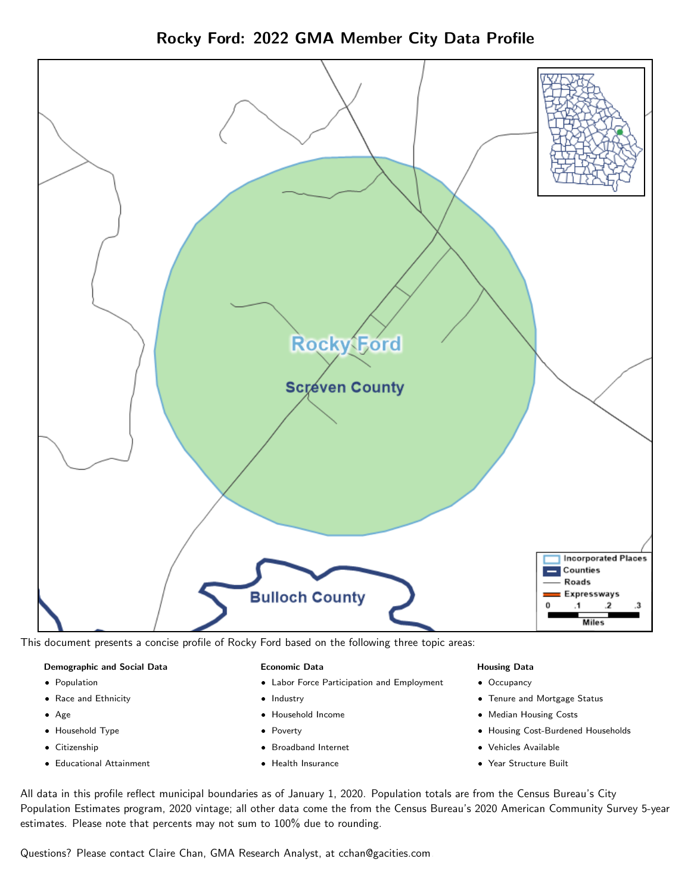



This document presents a concise profile of Rocky Ford based on the following three topic areas:

#### Demographic and Social Data

- **•** Population
- Race and Ethnicity
- Age
- Household Type
- **Citizenship**
- Educational Attainment

#### Economic Data

- Labor Force Participation and Employment
- Industry
- Household Income
- Poverty
- Broadband Internet
- Health Insurance

#### Housing Data

- Occupancy
- Tenure and Mortgage Status
- Median Housing Costs
- Housing Cost-Burdened Households
- Vehicles Available
- Year Structure Built

All data in this profile reflect municipal boundaries as of January 1, 2020. Population totals are from the Census Bureau's City Population Estimates program, 2020 vintage; all other data come the from the Census Bureau's 2020 American Community Survey 5-year estimates. Please note that percents may not sum to 100% due to rounding.

Questions? Please contact Claire Chan, GMA Research Analyst, at [cchan@gacities.com.](mailto:cchan@gacities.com)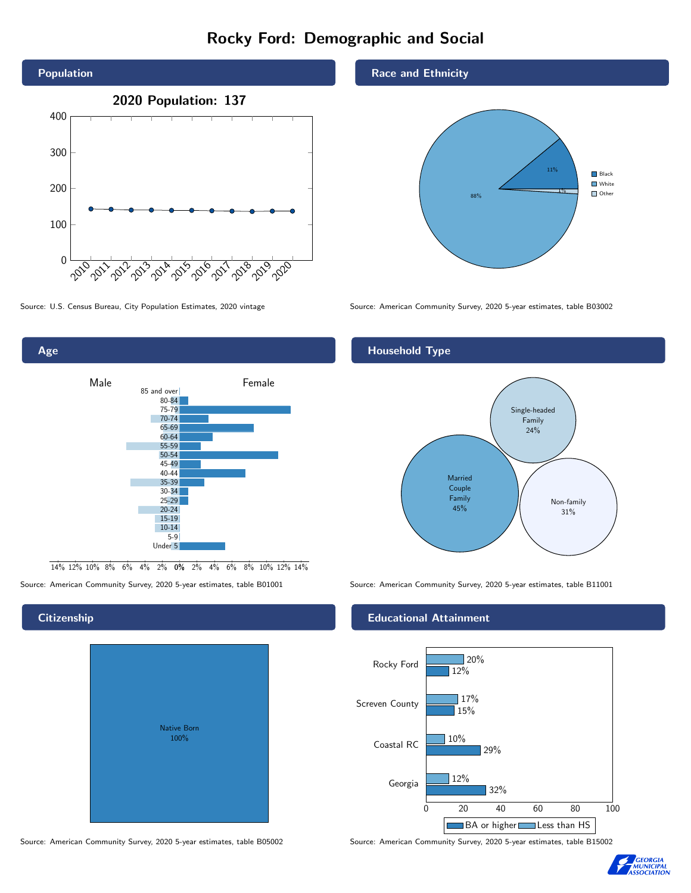# Rocky Ford: Demographic and Social



Age

**Citizenship** 



0% 2% 4% 6% 8% 10% 12% 14% 14% 12% 10% 8% 6% 4% 2%

# Native Born 100%

#### Source: American Community Survey, 2020 5-year estimates, table B05002 Source: American Community Survey, 2020 5-year estimates, table B15002

Race and Ethnicity



Source: U.S. Census Bureau, City Population Estimates, 2020 vintage Source: American Community Survey, 2020 5-year estimates, table B03002

#### Household Type



Source: American Community Survey, 2020 5-year estimates, table B01001 Source: American Community Survey, 2020 5-year estimates, table B11001

#### Educational Attainment



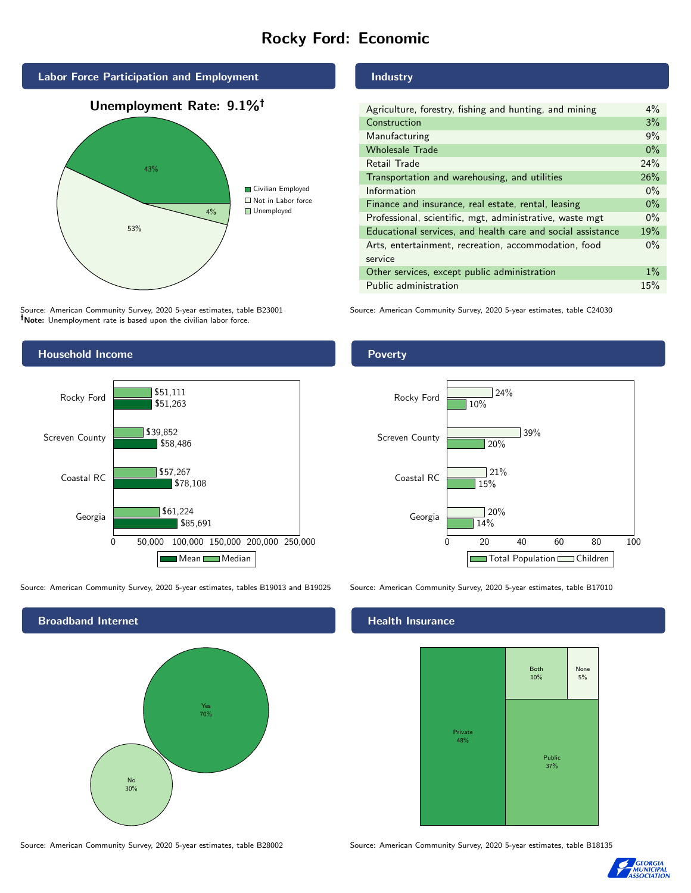# Rocky Ford: Economic



Source: American Community Survey, 2020 5-year estimates, table B23001 Note: Unemployment rate is based upon the civilian labor force.

#### Industry

| Agriculture, forestry, fishing and hunting, and mining      | $4\%$ |
|-------------------------------------------------------------|-------|
| Construction                                                | 3%    |
| Manufacturing                                               | 9%    |
| <b>Wholesale Trade</b>                                      | $0\%$ |
| Retail Trade                                                | 24%   |
| Transportation and warehousing, and utilities               | 26%   |
| Information                                                 | $0\%$ |
| Finance and insurance, real estate, rental, leasing         | $0\%$ |
| Professional, scientific, mgt, administrative, waste mgt    | $0\%$ |
| Educational services, and health care and social assistance | 19%   |
| Arts, entertainment, recreation, accommodation, food        | $0\%$ |
| service                                                     |       |
| Other services, except public administration                | $1\%$ |
| Public administration                                       | 15%   |

Source: American Community Survey, 2020 5-year estimates, table C24030



Source: American Community Survey, 2020 5-year estimates, tables B19013 and B19025 Source: American Community Survey, 2020 5-year estimates, table B17010



#### Health Insurance





#### Poverty